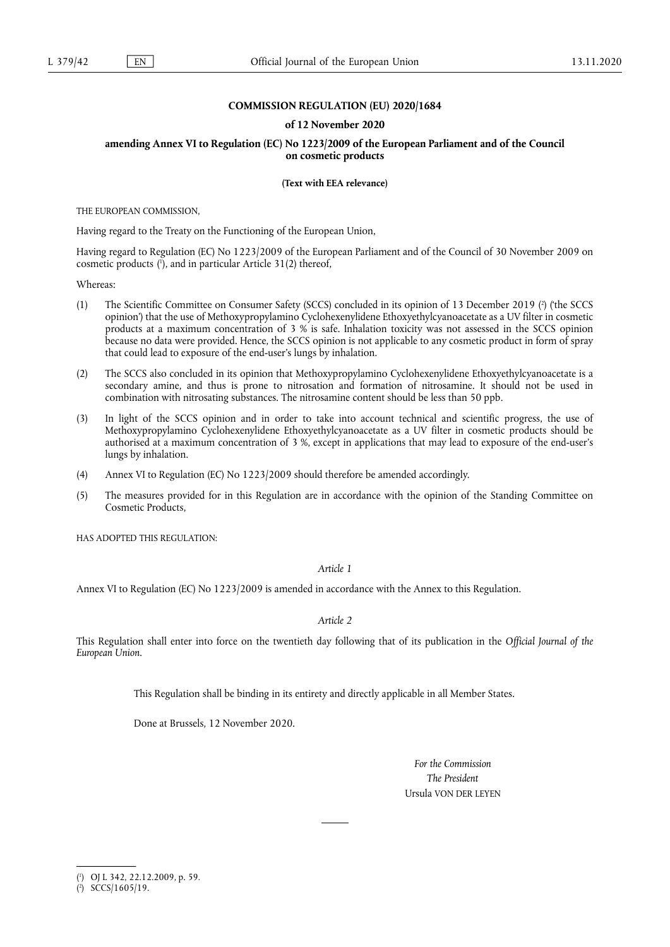## **COMMISSION REGULATION (EU) 2020/1684**

## **of 12 November 2020**

## **amending Annex VI to Regulation (EC) No 1223/2009 of the European Parliament and of the Council on cosmetic products**

**(Text with EEA relevance)** 

THE EUROPEAN COMMISSION,

Having regard to the Treaty on the Functioning of the European Union,

<span id="page-0-2"></span>Having regard to Regulation (EC) No 1223/2009 of the European Parliament and of the Council of 30 November 2009 on cosmetic products [\(](#page-0-0) 1 ), and in particular Article 31(2) thereof,

Whereas:

- <span id="page-0-3"></span>(1) The Scientific Committee on Consumer Safety (SCCS) concluded in its opinion of 13 December 2019 [\(](#page-0-1) 2 ) ('the SCCS opinion') that the use of Methoxypropylamino Cyclohexenylidene Ethoxyethylcyanoacetate as a UV filter in cosmetic products at a maximum concentration of 3 % is safe. Inhalation toxicity was not assessed in the SCCS opinion because no data were provided. Hence, the SCCS opinion is not applicable to any cosmetic product in form of spray that could lead to exposure of the end-user's lungs by inhalation.
- (2) The SCCS also concluded in its opinion that Methoxypropylamino Cyclohexenylidene Ethoxyethylcyanoacetate is a secondary amine, and thus is prone to nitrosation and formation of nitrosamine. It should not be used in combination with nitrosating substances. The nitrosamine content should be less than 50 ppb.
- (3) In light of the SCCS opinion and in order to take into account technical and scientific progress, the use of Methoxypropylamino Cyclohexenylidene Ethoxyethylcyanoacetate as a UV filter in cosmetic products should be authorised at a maximum concentration of 3 %, except in applications that may lead to exposure of the end-user's lungs by inhalation.
- (4) Annex VI to Regulation (EC) No 1223/2009 should therefore be amended accordingly.
- (5) The measures provided for in this Regulation are in accordance with the opinion of the Standing Committee on Cosmetic Products,

HAS ADOPTED THIS REGULATION·

*Article 1* 

Annex VI to Regulation (EC) No 1223/2009 is amended in accordance with the Annex to this Regulation.

*Article 2* 

This Regulation shall enter into force on the twentieth day following that of its publication in the *Official Journal of the European Union*.

This Regulation shall be binding in its entirety and directly applicable in all Member States.

Done at Brussels, 12 November 2020.

*For the Commission The President*  Ursula VON DER LEYEN

<span id="page-0-0"></span>[<sup>\(</sup>](#page-0-2) 1 ) OJ L 342, 22.12.2009, p. 59.

<span id="page-0-1"></span><sup>(</sup> 2 [\)](#page-0-3) SCCS/1605/19.